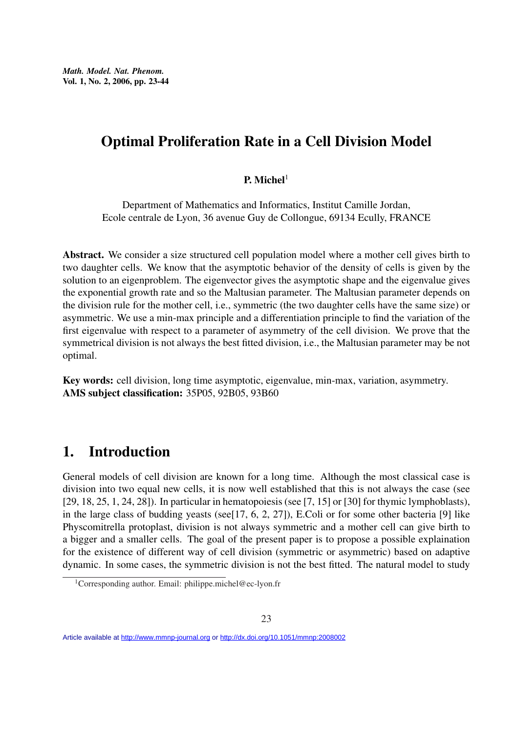# Optimal Proliferation Rate in a Cell Division Model

### P. Michel $1$

Department of Mathematics and Informatics, Institut Camille Jordan, Ecole centrale de Lyon, 36 avenue Guy de Collongue, 69134 Ecully, FRANCE

Abstract. We consider a size structured cell population model where a mother cell gives birth to two daughter cells. We know that the asymptotic behavior of the density of cells is given by the solution to an eigenproblem. The eigenvector gives the asymptotic shape and the eigenvalue gives the exponential growth rate and so the Maltusian parameter. The Maltusian parameter depends on the division rule for the mother cell, i.e., symmetric (the two daughter cells have the same size) or asymmetric. We use a min-max principle and a differentiation principle to find the variation of the first eigenvalue with respect to a parameter of asymmetry of the cell division. We prove that the symmetrical division is not always the best fitted division, i.e., the Maltusian parameter may be not optimal.

Key words: cell division, long time asymptotic, eigenvalue, min-max, variation, asymmetry. AMS subject classification: 35P05, 92B05, 93B60

# 1. Introduction

General models of cell division are known for a long time. Although the most classical case is division into two equal new cells, it is now well established that this is not always the case (see [29, 18, 25, 1, 24, 28]). In particular in hematopoiesis (see [7, 15] or [30] for thymic lymphoblasts), in the large class of budding yeasts (see[17, 6, 2, 27]), E.Coli or for some other bacteria [9] like Physcomitrella protoplast, division is not always symmetric and a mother cell can give birth to a bigger and a smaller cells. The goal of the present paper is to propose a possible explaination for the existence of different way of cell division (symmetric or asymmetric) based on adaptive dynamic. In some cases, the symmetric division is not the best fitted. The natural model to study

Article available at<http://www.mmnp-journal.org> or <http://dx.doi.org/10.1051/mmnp:2008002>

<sup>&</sup>lt;sup>1</sup>Corresponding author. Email: philippe.michel@ec-lyon.fr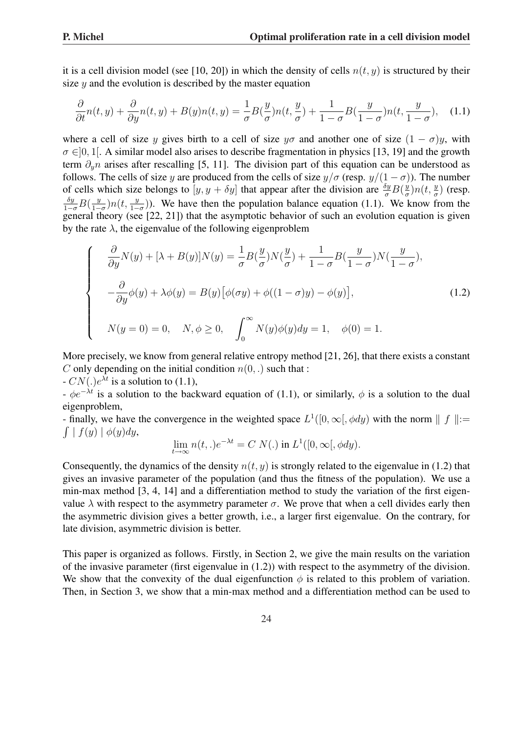it is a cell division model (see [10, 20]) in which the density of cells  $n(t, y)$  is structured by their size  $y$  and the evolution is described by the master equation

$$
\frac{\partial}{\partial t}n(t,y) + \frac{\partial}{\partial y}n(t,y) + B(y)n(t,y) = \frac{1}{\sigma}B(\frac{y}{\sigma})n(t,\frac{y}{\sigma}) + \frac{1}{1-\sigma}B(\frac{y}{1-\sigma})n(t,\frac{y}{1-\sigma}), \quad (1.1)
$$

where a cell of size y gives birth to a cell of size  $y\sigma$  and another one of size  $(1 - \sigma)y$ , with  $\sigma \in ]0, 1]$ . A similar model also arises to describe fragmentation in physics [13, 19] and the growth term  $\partial_n n$  arises after rescalling [5, 11]. The division part of this equation can be understood as follows. The cells of size y are produced from the cells of size  $y/\sigma$  (resp.  $y/(1 - \sigma)$ ). The number of cells which size belongs to  $[y, y + \delta y]$  that appear after the division are  $\frac{\delta y}{\sigma} B(\frac{y}{\sigma})$  $\frac{y}{\sigma}$ ) $n(t, \frac{y}{\sigma})$  (resp.  $\frac{\delta y}{1-\sigma}B(\frac{y}{1-\sigma})$  $\frac{y}{1-\sigma}$ )n(t,  $\frac{y}{1-\sigma}$ )). We have then the population balance equation (1.1). We know from the general theory (see [22, 21]) that the asymptotic behavior of such an evolution equation is given by the rate  $\lambda$ , the eigenvalue of the following eigenproblem

$$
\begin{cases}\n\frac{\partial}{\partial y}N(y) + [\lambda + B(y)]N(y) = \frac{1}{\sigma}B(\frac{y}{\sigma})N(\frac{y}{\sigma}) + \frac{1}{1-\sigma}B(\frac{y}{1-\sigma})N(\frac{y}{1-\sigma}), \\
-\frac{\partial}{\partial y}\phi(y) + \lambda\phi(y) = B(y)\big[\phi(\sigma y) + \phi((1-\sigma)y) - \phi(y)\big], \\
N(y=0) = 0, \quad N, \phi \ge 0, \quad \int_0^\infty N(y)\phi(y)dy = 1, \quad \phi(0) = 1.\n\end{cases}
$$
\n(1.2)

More precisely, we know from general relative entropy method [21, 26], that there exists a constant C only depending on the initial condition  $n(0, .)$  such that :

 $-CN(.)e^{\lambda t}$  is a solution to (1.1),

 $-\phi e^{-\lambda t}$  is a solution to the backward equation of (1.1), or similarly,  $\phi$  is a solution to the dual eigenproblem,

- finally, we have the convergence in the weighted space  $L^1([0,\infty[, \phi dy)$  with the norm  $|| f || :=$  $\int | f(y) | \phi(y) dy,$ 

$$
\lim_{t \to \infty} n(t,.)e^{-\lambda t} = C N(.) \text{ in } L^1([0,\infty[, \phi dy]).
$$

Consequently, the dynamics of the density  $n(t, y)$  is strongly related to the eigenvalue in (1.2) that gives an invasive parameter of the population (and thus the fitness of the population). We use a min-max method [3, 4, 14] and a differentiation method to study the variation of the first eigenvalue  $\lambda$  with respect to the asymmetry parameter  $\sigma$ . We prove that when a cell divides early then the asymmetric division gives a better growth, i.e., a larger first eigenvalue. On the contrary, for late division, asymmetric division is better.

This paper is organized as follows. Firstly, in Section 2, we give the main results on the variation of the invasive parameter (first eigenvalue in (1.2)) with respect to the asymmetry of the division. We show that the convexity of the dual eigenfunction  $\phi$  is related to this problem of variation. Then, in Section 3, we show that a min-max method and a differentiation method can be used to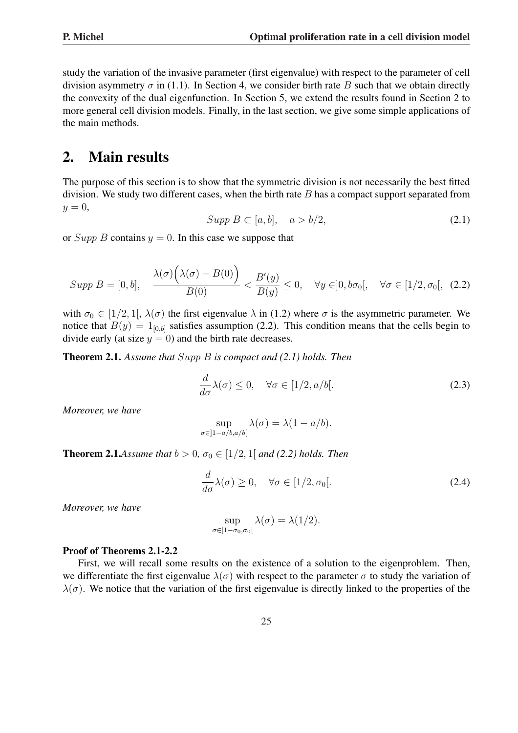study the variation of the invasive parameter (first eigenvalue) with respect to the parameter of cell division asymmetry  $\sigma$  in (1.1). In Section 4, we consider birth rate B such that we obtain directly the convexity of the dual eigenfunction. In Section 5, we extend the results found in Section 2 to more general cell division models. Finally, in the last section, we give some simple applications of the main methods.

# 2. Main results

The purpose of this section is to show that the symmetric division is not necessarily the best fitted division. We study two different cases, when the birth rate  $B$  has a compact support separated from  $y=0$ ,

$$
Supp B \subset [a, b], \quad a > b/2,
$$
\n
$$
(2.1)
$$

or  $Supp B$  contains  $y = 0$ . In this case we suppose that

$$
Supp B = [0, b], \quad \frac{\lambda(\sigma)\big(\lambda(\sigma) - B(0)\big)}{B(0)} < \frac{B'(y)}{B(y)} \le 0, \quad \forall y \in ]0, b\sigma_0[, \quad \forall \sigma \in [1/2, \sigma_0[, \quad (2.2)
$$

with  $\sigma_0 \in [1/2, 1]$ ,  $\lambda(\sigma)$  the first eigenvalue  $\lambda$  in (1.2) where  $\sigma$  is the asymmetric parameter. We notice that  $B(y) = 1_{[0,b]}$  satisfies assumption (2.2). This condition means that the cells begin to divide early (at size  $y = 0$ ) and the birth rate decreases.

Theorem 2.1. *Assume that* Supp B *is compact and (2.1) holds. Then*

$$
\frac{d}{d\sigma}\lambda(\sigma) \le 0, \quad \forall \sigma \in [1/2, a/b[.
$$
\n(2.3)

*Moreover, we have*

$$
\sup_{\sigma \in ]1-a/b,a/b[} \lambda(\sigma) = \lambda(1-a/b).
$$

**Theorem 2.1.**Assume that  $b > 0$ ,  $\sigma_0 \in [1/2, 1]$  and (2.2) holds. Then

$$
\frac{d}{d\sigma}\lambda(\sigma) \ge 0, \quad \forall \sigma \in [1/2, \sigma_0[.
$$
\n(2.4)

*Moreover, we have*

$$
\sup_{\sigma \in ]1-\sigma_0,\sigma_0[} \lambda(\sigma) = \lambda(1/2).
$$

### Proof of Theorems 2.1-2.2

First, we will recall some results on the existence of a solution to the eigenproblem. Then, we differentiate the first eigenvalue  $\lambda(\sigma)$  with respect to the parameter  $\sigma$  to study the variation of  $\lambda(\sigma)$ . We notice that the variation of the first eigenvalue is directly linked to the properties of the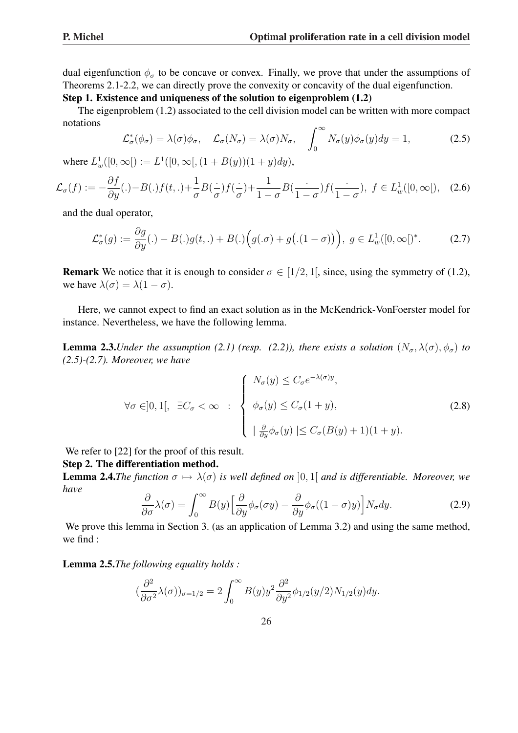dual eigenfunction  $\phi_{\sigma}$  to be concave or convex. Finally, we prove that under the assumptions of Theorems 2.1-2.2, we can directly prove the convexity or concavity of the dual eigenfunction.

### Step 1. Existence and uniqueness of the solution to eigenproblem (1.2)

The eigenproblem (1.2) associated to the cell division model can be written with more compact notations  $\overline{r}$ 

$$
\mathcal{L}^*_{\sigma}(\phi_{\sigma}) = \lambda(\sigma)\phi_{\sigma}, \quad \mathcal{L}_{\sigma}(N_{\sigma}) = \lambda(\sigma)N_{\sigma}, \quad \int_0^\infty N_{\sigma}(y)\phi_{\sigma}(y)dy = 1,\tag{2.5}
$$

where  $L^1_w([0,\infty]) := L^1([0,\infty[,(1 + B(y))(1 + y)dy),$ 

$$
\mathcal{L}_{\sigma}(f) := -\frac{\partial f}{\partial y}(.) - B(.)f(t,.) + \frac{1}{\sigma}B(\frac{.}{\sigma})f(\frac{.}{\sigma}) + \frac{1}{1-\sigma}B(\frac{.}{1-\sigma})f(\frac{.}{1-\sigma}), \ f \in L_w^1([0,\infty[), \quad (2.6)
$$

and the dual operator,

$$
\mathcal{L}^*_{\sigma}(g) := \frac{\partial g}{\partial y}(.) - B(.)g(t,.) + B(.)\Big(g(. \sigma) + g\big(. (1 - \sigma)\big)\Big), \ g \in L^1_w([0, \infty[)^*].
$$
 (2.7)

**Remark** We notice that it is enough to consider  $\sigma \in [1/2, 1]$ , since, using the symmetry of (1.2), we have  $\lambda(\sigma) = \lambda(1 - \sigma)$ .

Here, we cannot expect to find an exact solution as in the McKendrick-VonFoerster model for instance. Nevertheless, we have the following lemma.

**Lemma 2.3.***Under the assumption* (2.1) (resp. (2.2)), there exists a solution  $(N_{\sigma}, \lambda(\sigma), \phi_{\sigma})$  to *(2.5)-(2.7). Moreover, we have*

$$
\forall \sigma \in ]0,1[, \exists C_{\sigma} < \infty : \begin{cases} N_{\sigma}(y) \le C_{\sigma} e^{-\lambda(\sigma)y}, \\ \phi_{\sigma}(y) \le C_{\sigma}(1+y), \\ \frac{\partial}{\partial y} \phi_{\sigma}(y) \le C_{\sigma}(B(y)+1)(1+y). \end{cases}
$$
(2.8)

We refer to [22] for the proof of this result.

### Step 2. The differentiation method.

**Lemma 2.4.***The function*  $\sigma \mapsto \lambda(\sigma)$  *is well defined on* [0, 1] *and is differentiable. Moreover, we have*

$$
\frac{\partial}{\partial \sigma} \lambda(\sigma) = \int_0^\infty B(y) \Big[ \frac{\partial}{\partial y} \phi_\sigma(\sigma y) - \frac{\partial}{\partial y} \phi_\sigma((1-\sigma)y) \Big] N_\sigma dy. \tag{2.9}
$$

We prove this lemma in Section 3. (as an application of Lemma 3.2) and using the same method, we find :

Lemma 2.5.*The following equality holds :*

$$
(\frac{\partial^2}{\partial \sigma^2} \lambda(\sigma))_{\sigma=1/2} = 2 \int_0^\infty B(y) y^2 \frac{\partial^2}{\partial y^2} \phi_{1/2}(y/2) N_{1/2}(y) dy.
$$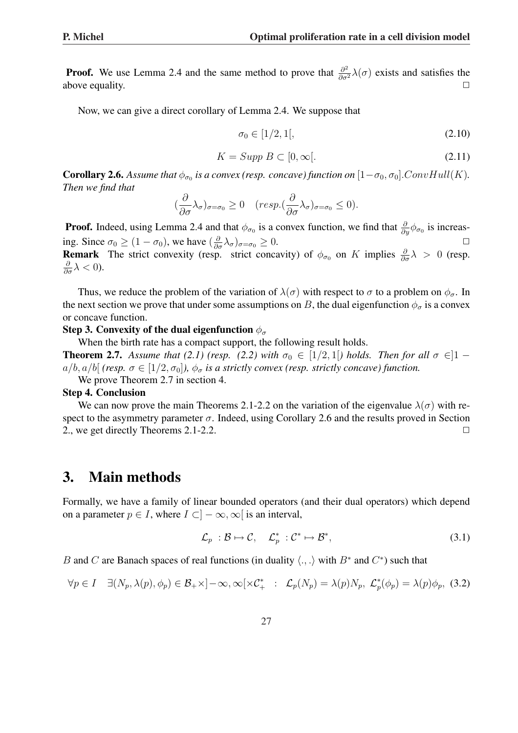**Proof.** We use Lemma 2.4 and the same method to prove that  $\frac{\partial^2}{\partial \sigma^2} \lambda(\sigma)$  exists and satisfies the above equality.

Now, we can give a direct corollary of Lemma 2.4. We suppose that

$$
\sigma_0 \in [1/2, 1[, \tag{2.10}
$$

$$
K = \text{Supp } B \subset [0, \infty[.
$$
\n
$$
(2.11)
$$

**Corollary 2.6.** Assume that  $\phi_{\sigma_0}$  is a convex (resp. concave) function on  $[1-\sigma_0, \sigma_0]$ . ConvHull(K). *Then we find that*

$$
(\frac{\partial}{\partial \sigma} \lambda_{\sigma})_{\sigma=\sigma_0} \geq 0 \quad (resp. (\frac{\partial}{\partial \sigma} \lambda_{\sigma})_{\sigma=\sigma_0} \leq 0).
$$

**Proof.** Indeed, using Lemma 2.4 and that  $\phi_{\sigma_0}$  is a convex function, we find that  $\frac{\partial}{\partial y}\phi_{\sigma_0}$  is increasing. Since  $\sigma_0 \ge (1 - \sigma_0)$ , we have  $(\frac{\partial}{\partial \sigma} \lambda_{\sigma})_{\sigma = \sigma_0} \ge 0$ . **Remark** The strict convexity (resp. strict concavity) of  $\phi_{\sigma_0}$  on K implies  $\frac{\partial}{\partial \sigma} \lambda > 0$  (resp.  $\frac{\partial}{\partial \sigma} \lambda < 0$ ).

Thus, we reduce the problem of the variation of  $\lambda(\sigma)$  with respect to  $\sigma$  to a problem on  $\phi_{\sigma}$ . In the next section we prove that under some assumptions on B, the dual eigenfunction  $\phi_{\sigma}$  is a convex or concave function.

#### Step 3. Convexity of the dual eigenfunction  $\phi_{\sigma}$

When the birth rate has a compact support, the following result holds.

**Theorem 2.7.** Assume that (2.1) (resp. (2.2) with  $\sigma_0 \in [1/2, 1]$  holds. Then for all  $\sigma \in ]1$  $a/b$ ,  $a/b$ [ *(resp.*  $\sigma \in [1/2, \sigma_0]$ *),*  $\phi_{\sigma}$  *is a strictly convex (resp. strictly concave) function.* 

We prove Theorem 2.7 in section 4.

#### Step 4. Conclusion

We can now prove the main Theorems 2.1-2.2 on the variation of the eigenvalue  $\lambda(\sigma)$  with respect to the asymmetry parameter  $\sigma$ . Indeed, using Corollary 2.6 and the results proved in Section 2., we get directly Theorems 2.1-2.2.  $\Box$ 

## 3. Main methods

Formally, we have a family of linear bounded operators (and their dual operators) which depend on a parameter  $p \in I$ , where  $I \subset ]-\infty, \infty[$  is an interval,

$$
\mathcal{L}_p : \mathcal{B} \mapsto \mathcal{C}, \quad \mathcal{L}_p^* : \mathcal{C}^* \mapsto \mathcal{B}^*, \tag{3.1}
$$

B and C are Banach spaces of real functions (in duality  $\langle ., . \rangle$  with  $B^*$  and  $C^*$ ) such that

$$
\forall p \in I \quad \exists (N_p, \lambda(p), \phi_p) \in \mathcal{B}_+ \times ]-\infty, \infty[\times \mathcal{C}_+^* \quad : \quad \mathcal{L}_p(N_p) = \lambda(p)N_p, \ \mathcal{L}_p^*(\phi_p) = \lambda(p)\phi_p, \ (3.2)
$$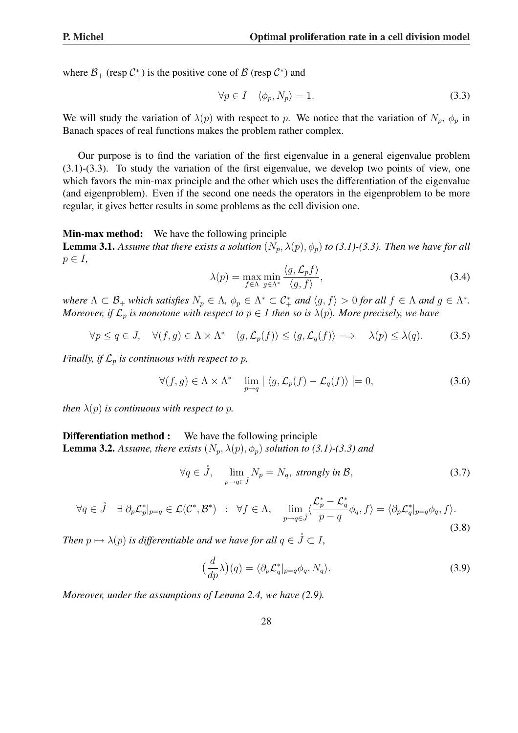where  $\mathcal{B}_+$  (resp  $\mathcal{C}_+^*$ ) is the positive cone of  $\mathcal{B}$  (resp  $\mathcal{C}^*$ ) and

$$
\forall p \in I \quad \langle \phi_p, N_p \rangle = 1. \tag{3.3}
$$

We will study the variation of  $\lambda(p)$  with respect to p. We notice that the variation of  $N_p$ ,  $\phi_p$  in Banach spaces of real functions makes the problem rather complex.

Our purpose is to find the variation of the first eigenvalue in a general eigenvalue problem (3.1)-(3.3). To study the variation of the first eigenvalue, we develop two points of view, one which favors the min-max principle and the other which uses the differentiation of the eigenvalue (and eigenproblem). Even if the second one needs the operators in the eigenproblem to be more regular, it gives better results in some problems as the cell division one.

Min-max method: We have the following principle

**Lemma 3.1.** Assume that there exists a solution  $(N_p, \lambda(p), \phi_p)$  to (3.1)-(3.3). Then we have for all  $p \in I$ ,

$$
\lambda(p) = \max_{f \in \Lambda} \min_{g \in \Lambda^*} \frac{\langle g, \mathcal{L}_p f \rangle}{\langle g, f \rangle},\tag{3.4}
$$

*where*  $\Lambda \subset \mathcal{B}_+$  *which satisfies*  $N_p \in \Lambda$ ,  $\phi_p \in \Lambda^* \subset \mathcal{C}_+^*$  *and*  $\langle g, f \rangle > 0$  *for all*  $f \in \Lambda$  *and*  $g \in \Lambda^*$ . *Moreover, if*  $\mathcal{L}_p$  *is monotone with respect to*  $p \in I$  *then so is*  $\lambda(p)$ *. More precisely, we have* 

$$
\forall p \le q \in J, \quad \forall (f, g) \in \Lambda \times \Lambda^* \quad \langle g, \mathcal{L}_p(f) \rangle \le \langle g, \mathcal{L}_q(f) \rangle \implies \quad \lambda(p) \le \lambda(q). \tag{3.5}
$$

*Finally, if*  $\mathcal{L}_p$  *is continuous with respect to p,* 

$$
\forall (f,g) \in \Lambda \times \Lambda^* \quad \lim_{p \to q} \left| \left\langle g, \mathcal{L}_p(f) - \mathcal{L}_q(f) \right\rangle \right| = 0, \tag{3.6}
$$

*then*  $\lambda(p)$  *is continuous with respect to p.* 

### **Differentiation method :** We have the following principle **Lemma 3.2.** Assume, there exists  $(N_p, \lambda(p), \phi_p)$  solution to (3.1)-(3.3) and

$$
\forall q \in \mathring{J}, \quad \lim_{p \to q \in \mathring{J}} N_p = N_q, \text{ strongly in } \mathcal{B}, \tag{3.7}
$$

$$
\forall q \in \mathring{J} \quad \exists \; \partial_p \mathcal{L}_p^*|_{p=q} \in \mathcal{L}(\mathcal{C}^*, \mathcal{B}^*) \quad : \quad \forall f \in \Lambda, \quad \lim_{p \to q \in \mathring{J}} \langle \frac{\mathcal{L}_p^* - \mathcal{L}_q^*}{p-q} \phi_q, f \rangle = \langle \partial_p \mathcal{L}_q^*|_{p=q} \phi_q, f \rangle. \tag{3.8}
$$

*Then*  $p \mapsto \lambda(p)$  *is differentiable and we have for all*  $q \in \mathring{J} \subset I$ *,* 

$$
\left(\frac{d}{dp}\lambda\right)(q) = \langle \partial_p \mathcal{L}_q^*|_{p=q} \phi_q, N_q \rangle. \tag{3.9}
$$

*Moreover, under the assumptions of Lemma 2.4, we have (2.9).*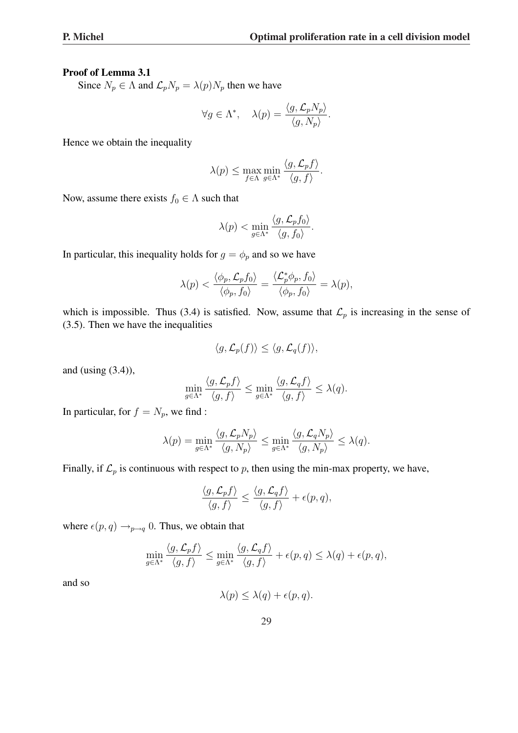### Proof of Lemma 3.1

Since  $N_p \in \Lambda$  and  $\mathcal{L}_p N_p = \lambda(p) N_p$  then we have

$$
\forall g \in \Lambda^*, \quad \lambda(p) = \frac{\langle g, \mathcal{L}_p N_p \rangle}{\langle g, N_p \rangle}.
$$

Hence we obtain the inequality

$$
\lambda(p) \le \max_{f \in \Lambda} \min_{g \in \Lambda^*} \frac{\langle g, \mathcal{L}_p f \rangle}{\langle g, f \rangle}.
$$

Now, assume there exists  $f_0 \in \Lambda$  such that

$$
\lambda(p) < \min_{g \in \Lambda^*} \frac{\langle g, \mathcal{L}_p f_0 \rangle}{\langle g, f_0 \rangle}.
$$

In particular, this inequality holds for  $g = \phi_p$  and so we have

$$
\lambda(p) < \frac{\langle \phi_p, \mathcal{L}_p f_0 \rangle}{\langle \phi_p, f_0 \rangle} = \frac{\langle \mathcal{L}_p^* \phi_p, f_0 \rangle}{\langle \phi_p, f_0 \rangle} = \lambda(p),
$$

which is impossible. Thus (3.4) is satisfied. Now, assume that  $\mathcal{L}_p$  is increasing in the sense of (3.5). Then we have the inequalities

$$
\langle g, \mathcal{L}_p(f) \rangle \le \langle g, \mathcal{L}_q(f) \rangle,
$$

and (using  $(3.4)$ ),

$$
\min_{g \in \Lambda^*} \frac{\langle g, \mathcal{L}_p f \rangle}{\langle g, f \rangle} \le \min_{g \in \Lambda^*} \frac{\langle g, \mathcal{L}_q f \rangle}{\langle g, f \rangle} \le \lambda(q).
$$

In particular, for  $f = N_p$ , we find :

$$
\lambda(p) = \min_{g \in \Lambda^*} \frac{\langle g, \mathcal{L}_p N_p \rangle}{\langle g, N_p \rangle} \le \min_{g \in \Lambda^*} \frac{\langle g, \mathcal{L}_q N_p \rangle}{\langle g, N_p \rangle} \le \lambda(q).
$$

Finally, if  $\mathcal{L}_p$  is continuous with respect to p, then using the min-max property, we have,

$$
\frac{\langle g, \mathcal{L}_p f \rangle}{\langle g, f \rangle} \le \frac{\langle g, \mathcal{L}_q f \rangle}{\langle g, f \rangle} + \epsilon(p, q),
$$

where  $\epsilon(p,q) \rightarrow_{p\rightarrow q} 0$ . Thus, we obtain that

$$
\min_{g \in \Lambda^*} \frac{\langle g, \mathcal{L}_p f \rangle}{\langle g, f \rangle} \le \min_{g \in \Lambda^*} \frac{\langle g, \mathcal{L}_q f \rangle}{\langle g, f \rangle} + \epsilon(p, q) \le \lambda(q) + \epsilon(p, q),
$$

and so

 $\lambda(p) \leq \lambda(q) + \epsilon(p,q).$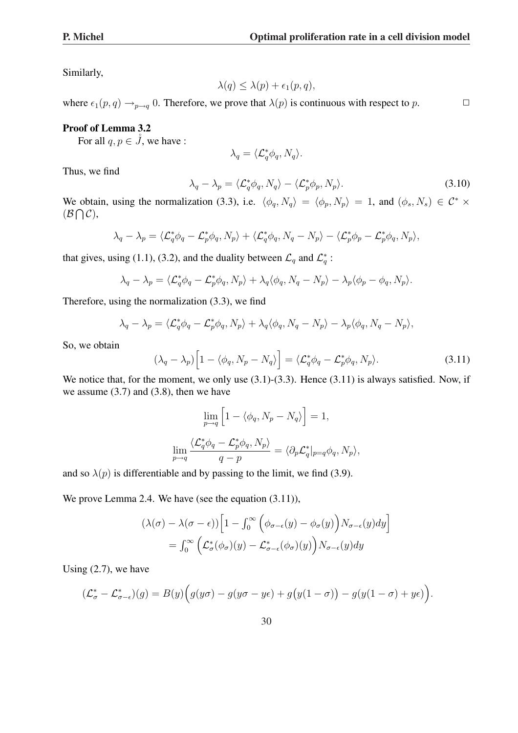Similarly,

$$
\lambda(q) \le \lambda(p) + \epsilon_1(p, q),
$$

where  $\epsilon_1(p, q) \rightarrow_{p \rightarrow q} 0$ . Therefore, we prove that  $\lambda(p)$  is continuous with respect to p.  $\Box$ 

### Proof of Lemma 3.2

For all  $q, p \in \ddot{J}$ , we have :

$$
\lambda_q = \langle \mathcal{L}_q^* \phi_q, N_q \rangle.
$$

Thus, we find

$$
\lambda_q - \lambda_p = \langle \mathcal{L}_q^* \phi_q, N_q \rangle - \langle \mathcal{L}_p^* \phi_p, N_p \rangle. \tag{3.10}
$$

We obtain, using the normalization (3.3), i.e.  $\langle \phi_q, N_q \rangle = \langle \phi_p, N_p \rangle = 1$ , and  $(\phi_s, N_s) \in C^* \times$  $(B \bigcap C),$ 

$$
\lambda_q - \lambda_p = \langle \mathcal{L}_q^* \phi_q - \mathcal{L}_p^* \phi_q, N_p \rangle + \langle \mathcal{L}_q^* \phi_q, N_q - N_p \rangle - \langle \mathcal{L}_p^* \phi_p - \mathcal{L}_p^* \phi_q, N_p \rangle,
$$

that gives, using (1.1), (3.2), and the duality between  $\mathcal{L}_q$  and  $\mathcal{L}_q^*$ :

$$
\lambda_q - \lambda_p = \langle \mathcal{L}_q^* \phi_q - \mathcal{L}_p^* \phi_q, N_p \rangle + \lambda_q \langle \phi_q, N_q - N_p \rangle - \lambda_p \langle \phi_p - \phi_q, N_p \rangle.
$$

Therefore, using the normalization (3.3), we find

$$
\lambda_q - \lambda_p = \langle \mathcal{L}_q^* \phi_q - \mathcal{L}_p^* \phi_q, N_p \rangle + \lambda_q \langle \phi_q, N_q - N_p \rangle - \lambda_p \langle \phi_q, N_q - N_p \rangle,
$$

So, we obtain

$$
(\lambda_q - \lambda_p) \Big[ 1 - \langle \phi_q, N_p - N_q \rangle \Big] = \langle \mathcal{L}_q^* \phi_q - \mathcal{L}_p^* \phi_q, N_p \rangle. \tag{3.11}
$$

We notice that, for the moment, we only use  $(3.1)$ - $(3.3)$ . Hence  $(3.11)$  is always satisfied. Now, if we assume  $(3.7)$  and  $(3.8)$ , then we have

$$
\lim_{p \to q} \left[ 1 - \langle \phi_q, N_p - N_q \rangle \right] = 1,
$$
  

$$
\lim_{p \to q} \frac{\langle \mathcal{L}_q^* \phi_q - \mathcal{L}_p^* \phi_q, N_p \rangle}{q - p} = \langle \partial_p \mathcal{L}_q^* |_{p = q} \phi_q, N_p \rangle,
$$

and so  $\lambda(p)$  is differentiable and by passing to the limit, we find (3.9).

We prove Lemma 2.4. We have (see the equation  $(3.11)$ ),

$$
(\lambda(\sigma) - \lambda(\sigma - \epsilon)) \Big[ 1 - \int_0^\infty \Big( \phi_{\sigma - \epsilon}(y) - \phi_\sigma(y) \Big) N_{\sigma - \epsilon}(y) dy \Big]
$$
  
= 
$$
\int_0^\infty \Big( \mathcal{L}^*_{\sigma}(\phi_\sigma)(y) - \mathcal{L}^*_{\sigma - \epsilon}(\phi_\sigma)(y) \Big) N_{\sigma - \epsilon}(y) dy
$$

Using (2.7), we have

$$
(\mathcal{L}^*_{\sigma} - \mathcal{L}^*_{\sigma-\epsilon})(g) = B(y) \Big( g(y\sigma) - g(y\sigma - y\epsilon) + g\big(y(1-\sigma)\big) - g(y(1-\sigma) + y\epsilon) \Big).
$$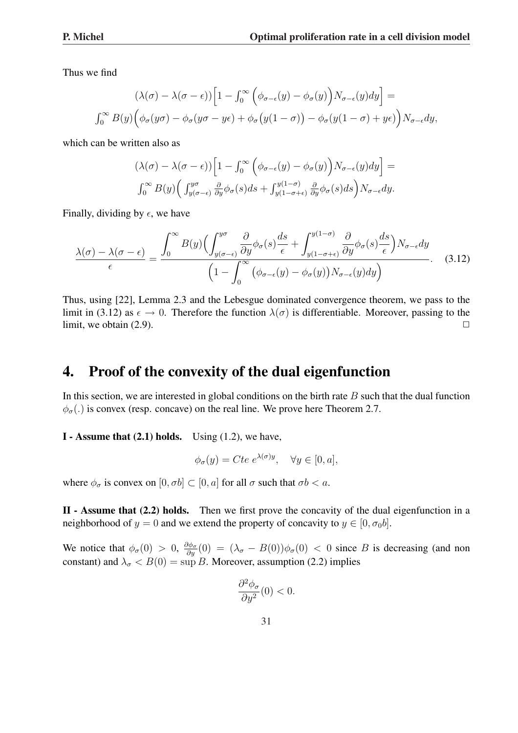Thus we find

$$
(\lambda(\sigma) - \lambda(\sigma - \epsilon)) \Big[ 1 - \int_0^\infty \Big( \phi_{\sigma - \epsilon}(y) - \phi_{\sigma}(y) \Big) N_{\sigma - \epsilon}(y) dy \Big] =
$$
  

$$
\int_0^\infty B(y) \Big( \phi_{\sigma}(y\sigma) - \phi_{\sigma}(y\sigma - y\epsilon) + \phi_{\sigma}(y(1 - \sigma)) - \phi_{\sigma}(y(1 - \sigma) + y\epsilon) \Big) N_{\sigma - \epsilon} dy,
$$

which can be written also as

$$
(\lambda(\sigma) - \lambda(\sigma - \epsilon)) \left[ 1 - \int_0^\infty \left( \phi_{\sigma - \epsilon}(y) - \phi_\sigma(y) \right) N_{\sigma - \epsilon}(y) dy \right] =
$$
  

$$
\int_0^\infty B(y) \left( \int_{y(\sigma - \epsilon)}^{y\sigma} \frac{\partial}{\partial y} \phi_\sigma(s) ds + \int_{y(1 - \sigma + \epsilon)}^{y(1 - \sigma)} \frac{\partial}{\partial y} \phi_\sigma(s) ds \right) N_{\sigma - \epsilon} dy.
$$

Finally, dividing by  $\epsilon$ , we have

$$
\frac{\lambda(\sigma) - \lambda(\sigma - \epsilon)}{\epsilon} = \frac{\int_0^\infty B(y) \Big( \int_{y(\sigma - \epsilon)}^{y\sigma} \frac{\partial}{\partial y} \phi_\sigma(s) \frac{ds}{\epsilon} + \int_{y(1 - \sigma + \epsilon)}^{y(1 - \sigma)} \frac{\partial}{\partial y} \phi_\sigma(s) \frac{ds}{\epsilon} \Big) N_{\sigma - \epsilon} dy}{\Big( 1 - \int_0^\infty \big( \phi_{\sigma - \epsilon}(y) - \phi_\sigma(y) \big) N_{\sigma - \epsilon}(y) dy \Big)}.
$$
(3.12)

Thus, using [22], Lemma 2.3 and the Lebesgue dominated convergence theorem, we pass to the limit in (3.12) as  $\epsilon \to 0$ . Therefore the function  $\lambda(\sigma)$  is differentiable. Moreover, passing to the limit, we obtain  $(2.9)$ .

# 4. Proof of the convexity of the dual eigenfunction

In this section, we are interested in global conditions on the birth rate  $B$  such that the dual function  $\phi_{\sigma}$ (.) is convex (resp. concave) on the real line. We prove here Theorem 2.7.

**I** - Assume that  $(2.1)$  holds. Using  $(1.2)$ , we have,

$$
\phi_{\sigma}(y) = Cte \; e^{\lambda(\sigma)y}, \quad \forall y \in [0, a],
$$

where  $\phi_{\sigma}$  is convex on  $[0, \sigma b] \subset [0, a]$  for all  $\sigma$  such that  $\sigma b < a$ .

II - Assume that  $(2.2)$  holds. Then we first prove the concavity of the dual eigenfunction in a neighborhood of  $y = 0$  and we extend the property of concavity to  $y \in [0, \sigma_0 b]$ .

We notice that  $\phi_{\sigma}(0) > 0$ ,  $\frac{\partial \phi_{\sigma}}{\partial y}(0) = (\lambda_{\sigma} - B(0))\phi_{\sigma}(0) < 0$  since B is decreasing (and non constant) and  $\lambda_{\sigma} < B(0) = \sup B$ . Moreover, assumption (2.2) implies

$$
\frac{\partial^2 \phi_\sigma}{\partial y^2}(0) < 0.
$$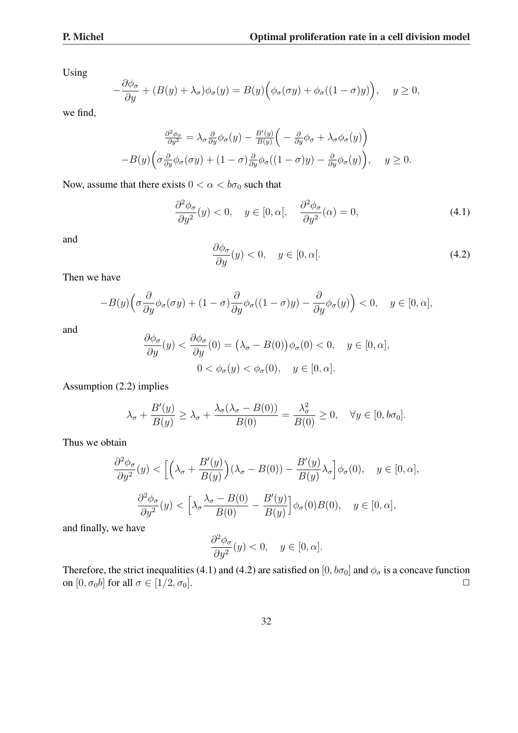Using

$$
-\frac{\partial \phi_{\sigma}}{\partial y} + (B(y) + \lambda_{\sigma})\phi_{\sigma}(y) = B(y) \Big(\phi_{\sigma}(\sigma y) + \phi_{\sigma}((1-\sigma)y)\Big), \quad y \ge 0,
$$

we find,

$$
\frac{\partial^2 \phi_{\sigma}}{\partial y^2} = \lambda_{\sigma} \frac{\partial}{\partial y} \phi_{\sigma}(y) - \frac{B'(y)}{B(y)} \left( -\frac{\partial}{\partial y} \phi_{\sigma} + \lambda_{\sigma} \phi_{\sigma}(y) \right)
$$

$$
-B(y) \left( \sigma \frac{\partial}{\partial y} \phi_{\sigma}(\sigma y) + (1 - \sigma) \frac{\partial}{\partial y} \phi_{\sigma}((1 - \sigma)y) - \frac{\partial}{\partial y} \phi_{\sigma}(y) \right), \quad y \ge 0.
$$

Now, assume that there exists  $0 < \alpha < b\sigma_0$  such that

$$
\frac{\partial^2 \phi_\sigma}{\partial y^2}(y) < 0, \quad y \in [0, \alpha[, \quad \frac{\partial^2 \phi_\sigma}{\partial y^2}(\alpha) = 0,\tag{4.1}
$$

and

$$
\frac{\partial \phi_{\sigma}}{\partial y}(y) < 0, \quad y \in [0, \alpha[. \tag{4.2})
$$

Then we have

$$
-B(y)\Big(\sigma\frac{\partial}{\partial y}\phi_\sigma(\sigma y) + (1-\sigma)\frac{\partial}{\partial y}\phi_\sigma((1-\sigma)y) - \frac{\partial}{\partial y}\phi_\sigma(y)\Big) < 0, \quad y \in [0,\alpha],
$$

and

$$
\frac{\partial \phi_{\sigma}}{\partial y}(y) < \frac{\partial \phi_{\sigma}}{\partial y}(0) = (\lambda_{\sigma} - B(0))\phi_{\sigma}(0) < 0, \quad y \in [0, \alpha],
$$
\n
$$
0 < \phi_{\sigma}(y) < \phi_{\sigma}(0), \quad y \in [0, \alpha].
$$

Assumption (2.2) implies

$$
\lambda_{\sigma} + \frac{B'(y)}{B(y)} \ge \lambda_{\sigma} + \frac{\lambda_{\sigma}(\lambda_{\sigma} - B(0))}{B(0)} = \frac{\lambda_{\sigma}^2}{B(0)} \ge 0, \quad \forall y \in [0, b\sigma_0].
$$

Thus we obtain

$$
\frac{\partial^2 \phi_{\sigma}}{\partial y^2}(y) < \left[ \left( \lambda_{\sigma} + \frac{B'(y)}{B(y)} \right) (\lambda_{\sigma} - B(0)) - \frac{B'(y)}{B(y)} \lambda_{\sigma} \right] \phi_{\sigma}(0), \quad y \in [0, \alpha],
$$
\n
$$
\frac{\partial^2 \phi_{\sigma}}{\partial y^2}(y) < \left[ \lambda_{\sigma} \frac{\lambda_{\sigma} - B(0)}{B(0)} - \frac{B'(y)}{B(y)} \right] \phi_{\sigma}(0) B(0), \quad y \in [0, \alpha],
$$

and finally, we have

$$
\frac{\partial^2 \phi_{\sigma}}{\partial y^2}(y) < 0, \quad y \in [0, \alpha].
$$

Therefore, the strict inequalities (4.1) and (4.2) are satisfied on [0,  $b\sigma_0$ ] and  $\phi_\sigma$  is a concave function on  $[0, \sigma_0 b]$  for all  $\sigma \in [1/2, \sigma_0]$ .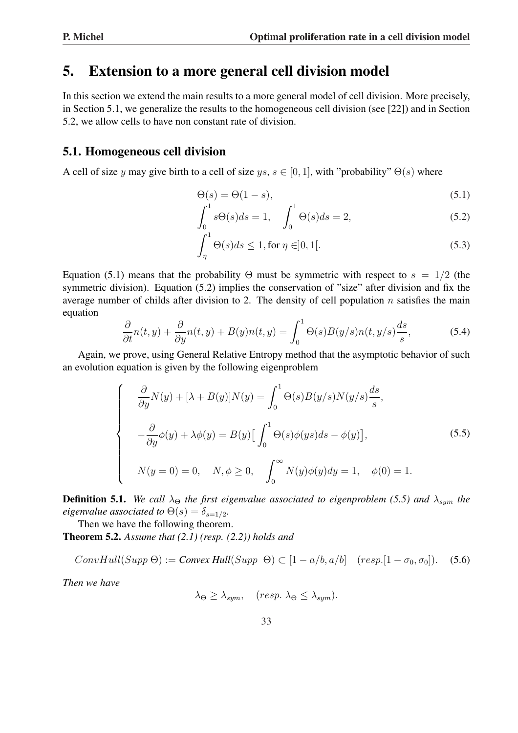## 5. Extension to a more general cell division model

In this section we extend the main results to a more general model of cell division. More precisely, in Section 5.1, we generalize the results to the homogeneous cell division (see [22]) and in Section 5.2, we allow cells to have non constant rate of division.

### 5.1. Homogeneous cell division

A cell of size y may give birth to a cell of size  $ys, s \in [0, 1]$ , with "probability"  $\Theta(s)$  where

$$
\Theta(s) = \Theta(1 - s),
$$
\n<sup>1</sup>\n<sup>c1</sup>\n(5.1)

$$
\int_0^1 s\Theta(s)ds = 1, \quad \int_0^1 \Theta(s)ds = 2,
$$
\n(5.2)

$$
\int_{\eta}^{1} \Theta(s)ds \le 1, \text{ for } \eta \in ]0, 1[.
$$
 (5.3)

Equation (5.1) means that the probability  $\Theta$  must be symmetric with respect to  $s = 1/2$  (the symmetric division). Equation (5.2) implies the conservation of "size" after division and fix the average number of childs after division to 2. The density of cell population  $n$  satisfies the main equation

$$
\frac{\partial}{\partial t}n(t,y) + \frac{\partial}{\partial y}n(t,y) + B(y)n(t,y) = \int_0^1 \Theta(s)B(y/s)n(t,y/s)\frac{ds}{s},\tag{5.4}
$$

Again, we prove, using General Relative Entropy method that the asymptotic behavior of such an evolution equation is given by the following eigenproblem

$$
\begin{cases}\n\frac{\partial}{\partial y}N(y) + [\lambda + B(y)]N(y) = \int_0^1 \Theta(s)B(y/s)N(y/s)\frac{ds}{s}, \\
-\frac{\partial}{\partial y}\phi(y) + \lambda\phi(y) = B(y)\Big[\int_0^1 \Theta(s)\phi(ys)ds - \phi(y)\Big], \\
N(y = 0) = 0, \quad N, \phi \ge 0, \quad \int_0^\infty N(y)\phi(y)dy = 1, \quad \phi(0) = 1.\n\end{cases}
$$
\n(5.5)

**Definition 5.1.** *We call*  $\lambda_{\Theta}$  *the first eigenvalue associated to eigenproblem (5.5) and*  $\lambda_{sum}$  *the eigenvalue associated to*  $\Theta(s) = \delta_{s=1/2}$ *.* 

Then we have the following theorem.

Theorem 5.2. *Assume that (2.1) (resp. (2.2)) holds and*

 $ConvHull(Supp \Theta) := Convex Hull(Supp \Theta) \subset [1 - a/b, a/b]$  (resp.[1 –  $\sigma_0, \sigma_0$ ]). (5.6)

*Then we have*

$$
\lambda_{\Theta} \geq \lambda_{sym}, \quad (resp. \ \lambda_{\Theta} \leq \lambda_{sym}).
$$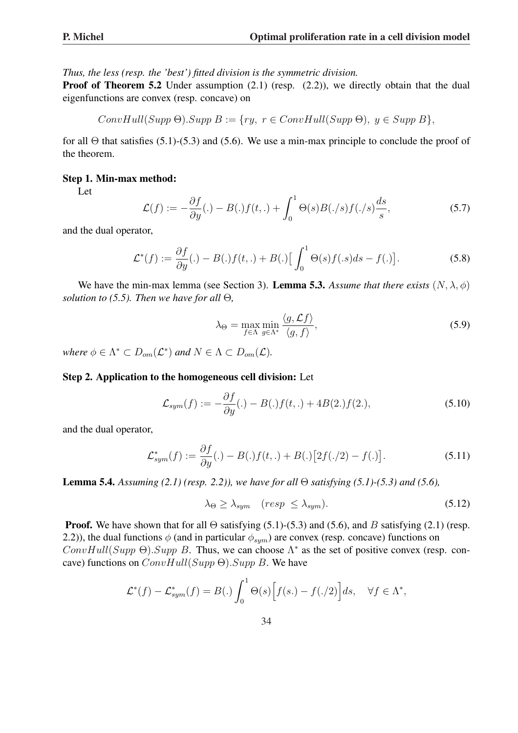*Thus, the less (resp. the 'best') fitted division is the symmetric division.*

**Proof of Theorem 5.2** Under assumption (2.1) (resp. (2.2)), we directly obtain that the dual eigenfunctions are convex (resp. concave) on

$$
ConvHull(Supp \Theta).Supp B := \{ry, r \in ConvHull(Supp \Theta), y \in Supp B\},\
$$

for all  $\Theta$  that satisfies (5.1)-(5.3) and (5.6). We use a min-max principle to conclude the proof of the theorem.

#### Step 1. Min-max method:

Let

$$
\mathcal{L}(f) := -\frac{\partial f}{\partial y}(.) - B(.)f(t,.) + \int_0^1 \Theta(s)B(./s)f(./s)\frac{ds}{s},\tag{5.7}
$$

and the dual operator,

$$
\mathcal{L}^*(f) := \frac{\partial f}{\partial y}(.) - B(.)f(t,.) + B(.) \Big[ \int_0^1 \Theta(s)f(s)ds - f(.) \Big].
$$
\n(5.8)

We have the min-max lemma (see Section 3). **Lemma 5.3.** *Assume that there exists*  $(N, \lambda, \phi)$ *solution to (5.5). Then we have for all* Θ*,*

$$
\lambda_{\Theta} = \max_{f \in \Lambda} \min_{g \in \Lambda^*} \frac{\langle g, \mathcal{L}f \rangle}{\langle g, f \rangle},\tag{5.9}
$$

*where*  $\phi \in \Lambda^* \subset D_{\text{om}}(\mathcal{L}^*)$  *and*  $N \in \Lambda \subset D_{\text{om}}(\mathcal{L})$ *.* 

### Step 2. Application to the homogeneous cell division: Let

$$
\mathcal{L}_{sym}(f) := -\frac{\partial f}{\partial y}(.) - B(.)f(t,.) + 4B(2.)f(2.), \qquad (5.10)
$$

and the dual operator,

$$
\mathcal{L}_{sym}^*(f) := \frac{\partial f}{\partial y}(.) - B(.)f(t,.) + B(.)\big[2f(./2) - f(.)\big].\tag{5.11}
$$

Lemma 5.4. *Assuming (2.1) (resp. 2.2)), we have for all* Θ *satisfying (5.1)-(5.3) and (5.6),*

$$
\lambda_{\Theta} \ge \lambda_{sym} \quad (resp \le \lambda_{sym}). \tag{5.12}
$$

**Proof.** We have shown that for all  $\Theta$  satisfying (5.1)-(5.3) and (5.6), and B satisfying (2.1) (resp. 2.2)), the dual functions  $\phi$  (and in particular  $\phi_{sum}$ ) are convex (resp. concave) functions on ConvHull(Supp  $\Theta$ ). Supp B. Thus, we can choose  $\Lambda^*$  as the set of positive convex (resp. concave) functions on  $ConvHull(Supp \Theta).Supp B$ . We have

$$
\mathcal{L}^*(f) - \mathcal{L}^*_{sym}(f) = B(.) \int_0^1 \Theta(s) \Big[ f(s.) - f(./2) \Big] ds, \quad \forall f \in \Lambda^*,
$$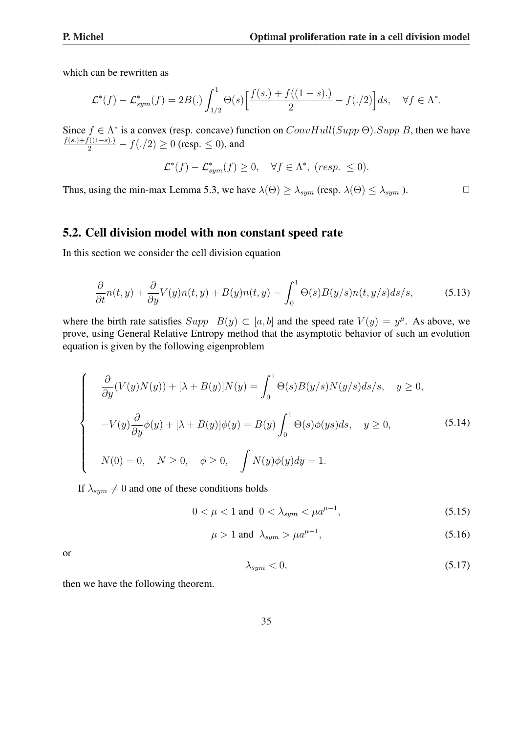which can be rewritten as

$$
\mathcal{L}^*(f) - \mathcal{L}_{sym}^*(f) = 2B(.) \int_{1/2}^1 \Theta(s) \left[ \frac{f(s.) + f((1-s).)}{2} - f(./2) \right] ds, \quad \forall f \in \Lambda^*.
$$

Since  $f \in \Lambda^*$  is a convex (resp. concave) function on  $ConvHull(Supp \Theta).Supp B$ , then we have  $\frac{f(s.)+f((1-s).)}{2} - f(./2) \ge 0$  (resp.  $\le 0$ ), and

$$
\mathcal{L}^*(f) - \mathcal{L}_{sym}^*(f) \ge 0, \quad \forall f \in \Lambda^*, \ (resp. \le 0).
$$

Thus, using the min-max Lemma 5.3, we have  $\lambda(\Theta) \geq \lambda_{sym}$  (resp.  $\lambda(\Theta) \leq \lambda_{sym}$ ).

### 5.2. Cell division model with non constant speed rate

In this section we consider the cell division equation

$$
\frac{\partial}{\partial t}n(t,y) + \frac{\partial}{\partial y}V(y)n(t,y) + B(y)n(t,y) = \int_0^1 \Theta(s)B(y/s)n(t,y/s)ds/s,
$$
\n(5.13)

where the birth rate satisfies  $Supp B(y) \subset [a, b]$  and the speed rate  $V(y) = y^{\mu}$ . As above, we prove, using General Relative Entropy method that the asymptotic behavior of such an evolution equation is given by the following eigenproblem

$$
\begin{cases}\n\frac{\partial}{\partial y}(V(y)N(y)) + [\lambda + B(y)]N(y) = \int_0^1 \Theta(s)B(y/s)N(y/s)ds/s, \quad y \ge 0, \\
-V(y)\frac{\partial}{\partial y}\phi(y) + [\lambda + B(y)]\phi(y) = B(y)\int_0^1 \Theta(s)\phi(ys)ds, \quad y \ge 0, \\
N(0) = 0, \quad N \ge 0, \quad \phi \ge 0, \quad \int N(y)\phi(y)dy = 1.\n\end{cases}
$$
\n(5.14)

If  $\lambda_{sym} \neq 0$  and one of these conditions holds

$$
0 < \mu < 1 \text{ and } 0 < \lambda_{sym} < \mu a^{\mu - 1},\tag{5.15}
$$

$$
\mu > 1 \text{ and } \lambda_{sym} > \mu a^{\mu - 1}, \tag{5.16}
$$

or

$$
\lambda_{sym} < 0,\tag{5.17}
$$

then we have the following theorem.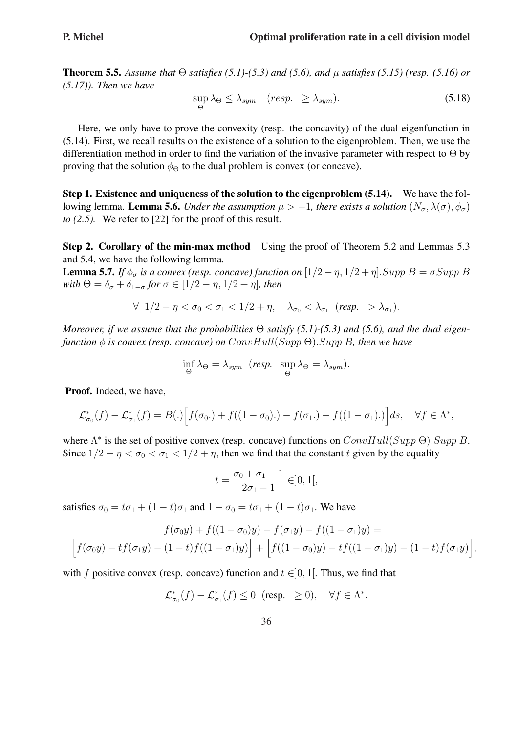**Theorem 5.5.** Assume that  $\Theta$  *satisfies* (5.1)-(5.3) and (5.6), and  $\mu$  *satisfies* (5.15) (resp. (5.16) or *(5.17)). Then we have*

$$
\sup_{\Theta} \lambda_{\Theta} \le \lambda_{sym} \quad (resp. \ge \lambda_{sym}). \tag{5.18}
$$

Here, we only have to prove the convexity (resp. the concavity) of the dual eigenfunction in (5.14). First, we recall results on the existence of a solution to the eigenproblem. Then, we use the differentiation method in order to find the variation of the invasive parameter with respect to Θ by proving that the solution  $\phi_{\Theta}$  to the dual problem is convex (or concave).

Step 1. Existence and uniqueness of the solution to the eigenproblem (5.14). We have the following lemma. **Lemma 5.6.** *Under the assumption*  $\mu > -1$ , *there exists a solution*  $(N_{\sigma}, \lambda(\sigma), \phi_{\sigma})$ *to (2.5).* We refer to [22] for the proof of this result.

Step 2. Corollary of the min-max method Using the proof of Theorem 5.2 and Lemmas 5.3 and 5.4, we have the following lemma.

**Lemma 5.7.** *If*  $\phi_{\sigma}$  *is a convex (resp. concave) function on*  $[1/2 - \eta, 1/2 + \eta]$ . *Supp*  $B = \sigma \, Supp \, B$ *with*  $\Theta = \delta_{\sigma} + \delta_{1-\sigma}$  *for*  $\sigma \in [1/2 - \eta, 1/2 + \eta]$ *, then* 

$$
\forall \ \ 1/2 - \eta < \sigma_0 < \sigma_1 < 1/2 + \eta, \quad \lambda_{\sigma_0} < \lambda_{\sigma_1} \ \ (resp. \ > \lambda_{\sigma_1}).
$$

*Moreover, if we assume that the probabilities* Θ *satisfy (5.1)-(5.3) and (5.6), and the dual eigenfunction* φ *is convex (resp. concave) on* ConvHull(Supp Θ).Supp B*, then we have*

$$
\inf_{\Theta} \lambda_{\Theta} = \lambda_{sym} \ \ (resp. \ \ \sup_{\Theta} \lambda_{\Theta} = \lambda_{sym}).
$$

Proof. Indeed, we have,

$$
\mathcal{L}_{\sigma_0}^*(f) - \mathcal{L}_{\sigma_1}^*(f) = B(.) \Big[ f(\sigma_0.) + f((1 - \sigma_0).) - f(\sigma_1.) - f((1 - \sigma_1).)\Big] ds, \quad \forall f \in \Lambda^*,
$$

where  $\Lambda^*$  is the set of positive convex (resp. concave) functions on  $ConvHull(Supp \Theta).Supp B$ . Since  $1/2 - \eta < \sigma_0 < \sigma_1 < 1/2 + \eta$ , then we find that the constant t given by the equality

$$
t=\frac{\sigma_0+\sigma_1-1}{2\sigma_1-1}\in]0,1[,
$$

satisfies  $\sigma_0 = t\sigma_1 + (1-t)\sigma_1$  and  $1 - \sigma_0 = t\sigma_1 + (1-t)\sigma_1$ . We have

$$
f(\sigma_0 y) + f((1 - \sigma_0)y) - f(\sigma_1 y) - f((1 - \sigma_1)y) =
$$
  

$$
\left[ f(\sigma_0 y) - tf(\sigma_1 y) - (1 - t)f((1 - \sigma_1)y) \right] + \left[ f((1 - \sigma_0)y) - tf((1 - \sigma_1)y) - (1 - t)f(\sigma_1 y) \right],
$$

with f positive convex (resp. concave) function and  $t \in ]0, 1[$ . Thus, we find that

$$
\mathcal{L}^*_{\sigma_0}(f) - \mathcal{L}^*_{\sigma_1}(f) \le 0 \quad (\text{resp.} \quad \ge 0), \quad \forall f \in \Lambda^*.
$$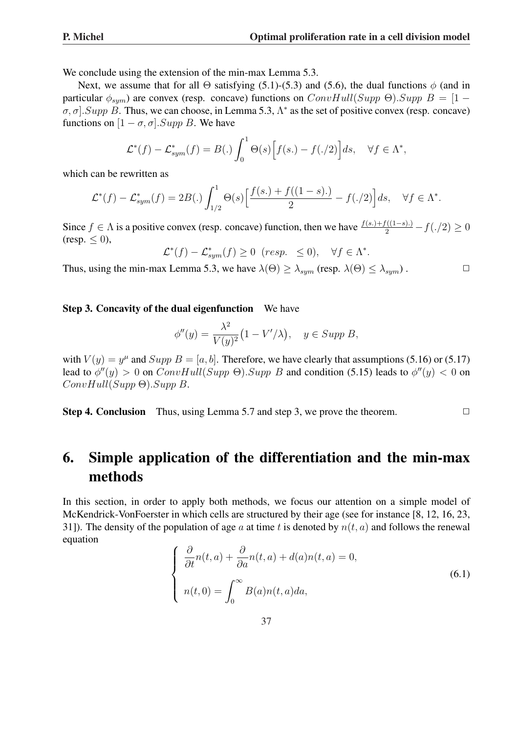We conclude using the extension of the min-max Lemma 5.3.

Next, we assume that for all  $\Theta$  satisfying (5.1)-(5.3) and (5.6), the dual functions  $\phi$  (and in particular  $\phi_{sum}$ ) are convex (resp. concave) functions on  $ConvHull(Supp \Theta)$ .  $Supp B = [1 \sigma$ ,  $\sigma$ . Supp B. Thus, we can choose, in Lemma 5.3,  $\Lambda^*$  as the set of positive convex (resp. concave) functions on  $[1 - \sigma, \sigma]$ . Supp B. We have

$$
\mathcal{L}^*(f) - \mathcal{L}_{sym}^*(f) = B(.) \int_0^1 \Theta(s) \Big[ f(s.) - f(.) \Big] ds, \quad \forall f \in \Lambda^*,
$$

which can be rewritten as

$$
\mathcal{L}^*(f) - \mathcal{L}_{sym}^*(f) = 2B(.) \int_{1/2}^1 \Theta(s) \left[ \frac{f(s.) + f((1-s).)}{2} - f(./2) \right] ds, \quad \forall f \in \Lambda^*.
$$

Since  $f \in \Lambda$  is a positive convex (resp. concave) function, then we have  $\frac{f(s.)+f((1-s))}{2} - f(./2) \ge 0$ (resp.  $\leq$  0),

 $\mathcal{L}^*(f) - \mathcal{L}_{sym}^*(f) \ge 0$  (resp.  $\le 0$ ),  $\forall f \in \Lambda^*$ .

Thus, using the min-max Lemma 5.3, we have  $\lambda(\Theta) \geq \lambda_{sum}$  (resp.  $\lambda(\Theta) \leq \lambda_{sum}$ ).

### Step 3. Concavity of the dual eigenfunction We have

$$
\phi''(y) = \frac{\lambda^2}{V(y)^2} (1 - V'/\lambda), \quad y \in \text{Supp } B,
$$

with  $V(y) = y^{\mu}$  and  $Supp B = [a, b]$ . Therefore, we have clearly that assumptions (5.16) or (5.17) lead to  $\phi''(y) > 0$  on  $ConvHull(Supp \Theta).Supp B$  and condition (5.15) leads to  $\phi''(y) < 0$  on ConvHull(Supp Θ).Supp B.

**Step 4. Conclusion** Thus, using Lemma 5.7 and step 3, we prove the theorem.  $\Box$ 

# 6. Simple application of the differentiation and the min-max methods

In this section, in order to apply both methods, we focus our attention on a simple model of McKendrick-VonFoerster in which cells are structured by their age (see for instance [8, 12, 16, 23, 31]). The density of the population of age a at time t is denoted by  $n(t, a)$  and follows the renewal equation  $\overline{ }$ 

$$
\begin{cases}\n\frac{\partial}{\partial t}n(t,a) + \frac{\partial}{\partial a}n(t,a) + d(a)n(t,a) = 0, \\
n(t,0) = \int_0^\infty B(a)n(t,a)da,\n\end{cases}
$$
\n(6.1)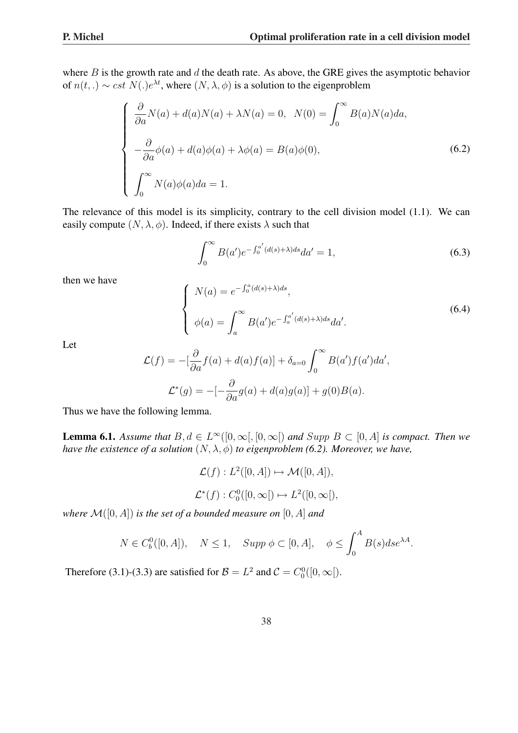where  $B$  is the growth rate and  $d$  the death rate. As above, the GRE gives the asymptotic behavior of  $n(t,.) \sim cst \ N(.)e^{\lambda t}$ , where  $(N, \lambda, \phi)$  is a solution to the eigenproblem

$$
\begin{cases}\n\frac{\partial}{\partial a}N(a) + d(a)N(a) + \lambda N(a) = 0, & N(0) = \int_0^\infty B(a)N(a)da, \\
-\frac{\partial}{\partial a}\phi(a) + d(a)\phi(a) + \lambda\phi(a) = B(a)\phi(0), \\
\int_0^\infty N(a)\phi(a)da = 1.\n\end{cases}
$$
\n(6.2)

The relevance of this model is its simplicity, contrary to the cell division model (1.1). We can easily compute  $(N, \lambda, \phi)$ . Indeed, if there exists  $\lambda$  such that

$$
\int_0^\infty B(a')e^{-\int_0^{a'} (d(s)+\lambda)ds} da' = 1,
$$
\n(6.3)

then we have

$$
\begin{cases}\nN(a) = e^{-\int_0^a (d(s)+\lambda)ds}, \\
\phi(a) = \int_a^\infty B(a')e^{-\int_a^{a'} (d(s)+\lambda)ds} da'.\n\end{cases}
$$
\n(6.4)

Let

$$
\mathcal{L}(f) = -\left[\frac{\partial}{\partial a}f(a) + d(a)f(a)\right] + \delta_{a=0} \int_0^\infty B(a')f(a')da',
$$
  

$$
\mathcal{L}^*(g) = -\left[-\frac{\partial}{\partial a}g(a) + d(a)g(a)\right] + g(0)B(a).
$$

Thus we have the following lemma.

**Lemma 6.1.** Assume that  $B, d \in L^{\infty}([0, \infty[, [0, \infty])$  and  $Supp B \subset [0, A]$  is compact. Then we *have the existence of a solution*  $(N, \lambda, \phi)$  *to eigenproblem* (6.2). Moreover, we have,

$$
\mathcal{L}(f) : L^2([0, A]) \mapsto \mathcal{M}([0, A]),
$$
  

$$
\mathcal{L}^*(f) : C_0^0([0, \infty[) \mapsto L^2([0, \infty[),
$$

*where*  $\mathcal{M}([0, A])$  *is the set of a bounded measure on*  $[0, A]$  *and* 

$$
N\in C_b^0([0,A]),\quad N\leq 1,\quad Supp\;\phi\subset [0,A],\quad \phi\leq \int_0^A B(s)ds e^{\lambda A}.
$$

Therefore (3.1)-(3.3) are satisfied for  $B = L^2$  and  $C = C_0^0([0, \infty])$ .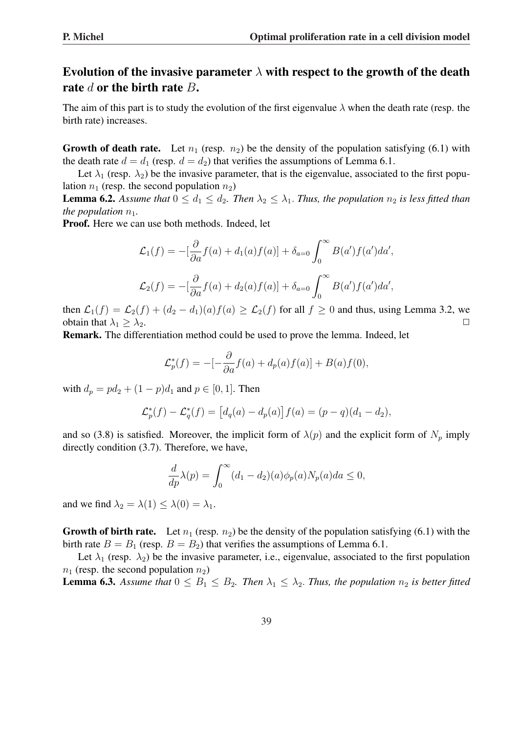## Evolution of the invasive parameter  $\lambda$  with respect to the growth of the death rate  $d$  or the birth rate  $B$ .

The aim of this part is to study the evolution of the first eigenvalue  $\lambda$  when the death rate (resp. the birth rate) increases.

Growth of death rate. Let  $n_1$  (resp.  $n_2$ ) be the density of the population satisfying (6.1) with the death rate  $d = d_1$  (resp.  $d = d_2$ ) that verifies the assumptions of Lemma 6.1.

Let  $\lambda_1$  (resp.  $\lambda_2$ ) be the invasive parameter, that is the eigenvalue, associated to the first population  $n_1$  (resp. the second population  $n_2$ )

**Lemma 6.2.** Assume that  $0 \le d_1 \le d_2$ . Then  $\lambda_2 \le \lambda_1$ . Thus, the population  $n_2$  is less fitted than *the population*  $n_1$ *.* 

Proof. Here we can use both methods. Indeed, let

$$
\mathcal{L}_1(f) = -\left[\frac{\partial}{\partial a}f(a) + d_1(a)f(a)\right] + \delta_{a=0} \int_0^\infty B(a')f(a')da',
$$
  

$$
\mathcal{L}_2(f) = -\left[\frac{\partial}{\partial a}f(a) + d_2(a)f(a)\right] + \delta_{a=0} \int_0^\infty B(a')f(a')da',
$$

then  $\mathcal{L}_1(f) = \mathcal{L}_2(f) + (d_2 - d_1)(a)f(a) \ge \mathcal{L}_2(f)$  for all  $f \ge 0$  and thus, using Lemma 3.2, we obtain that  $\lambda_1 > \lambda_2$ .

Remark. The differentiation method could be used to prove the lemma. Indeed, let

$$
\mathcal{L}_p^*(f) = -[-\frac{\partial}{\partial a}f(a) + d_p(a)f(a)] + B(a)f(0),
$$

with  $d_p = pd_2 + (1 - p)d_1$  and  $p \in [0, 1]$ . Then

$$
\mathcal{L}_p^*(f) - \mathcal{L}_q^*(f) = [d_q(a) - d_p(a)]f(a) = (p - q)(d_1 - d_2),
$$

and so (3.8) is satisfied. Moreover, the implicit form of  $\lambda(p)$  and the explicit form of  $N_p$  imply directly condition (3.7). Therefore, we have,

$$
\frac{d}{dp}\lambda(p) = \int_0^\infty (d_1 - d_2)(a)\phi_p(a)N_p(a)da \le 0,
$$

and we find  $\lambda_2 = \lambda(1) \leq \lambda(0) = \lambda_1$ .

**Growth of birth rate.** Let  $n_1$  (resp.  $n_2$ ) be the density of the population satisfying (6.1) with the birth rate  $B = B_1$  (resp.  $B = B_2$ ) that verifies the assumptions of Lemma 6.1.

Let  $\lambda_1$  (resp.  $\lambda_2$ ) be the invasive parameter, i.e., eigenvalue, associated to the first population  $n_1$  (resp. the second population  $n_2$ )

**Lemma 6.3.** Assume that  $0 \leq B_1 \leq B_2$ . Then  $\lambda_1 \leq \lambda_2$ . Thus, the population  $n_2$  is better fitted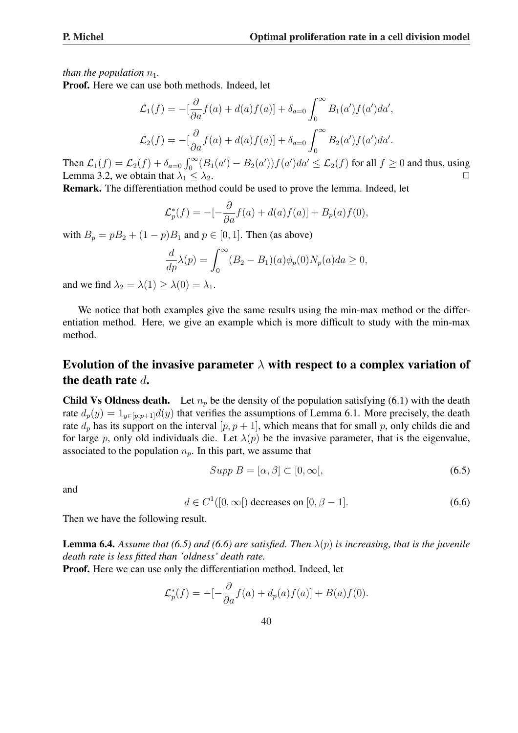*than the population*  $n_1$ *.* 

Proof. Here we can use both methods. Indeed, let

$$
\mathcal{L}_1(f) = -\left[\frac{\partial}{\partial a}f(a) + d(a)f(a)\right] + \delta_{a=0} \int_0^\infty B_1(a')f(a')da',
$$
  

$$
\mathcal{L}_2(f) = -\left[\frac{\partial}{\partial a}f(a) + d(a)f(a)\right] + \delta_{a=0} \int_0^\infty B_2(a')f(a')da'.
$$

Then  $\mathcal{L}_1(f) = \mathcal{L}_2(f) + \delta_{a=0} \int_0^\infty (B_1(a') - B_2(a')) f(a') da' \leq \mathcal{L}_2(f)$  for all  $f \geq 0$  and thus, using Lemma 3.2, we obtain that  $\lambda_1 \leq \lambda_2$ .

Remark. The differentiation method could be used to prove the lemma. Indeed, let

$$
\mathcal{L}_p^*(f) = -[-\frac{\partial}{\partial a}f(a) + d(a)f(a)] + B_p(a)f(0),
$$

with  $B_p = pB_2 + (1 - p)B_1$  and  $p \in [0, 1]$ . Then (as above)

$$
\frac{d}{dp}\lambda(p) = \int_0^\infty (B_2 - B_1)(a)\phi_p(0)N_p(a)da \ge 0,
$$

and we find  $\lambda_2 = \lambda(1) \geq \lambda(0) = \lambda_1$ .

We notice that both examples give the same results using the min-max method or the differentiation method. Here, we give an example which is more difficult to study with the min-max method.

### Evolution of the invasive parameter  $\lambda$  with respect to a complex variation of the death rate d.

**Child Vs Oldness death.** Let  $n_p$  be the density of the population satisfying (6.1) with the death rate  $d_p(y) = 1_{y \in [p,p+1]}d(y)$  that verifies the assumptions of Lemma 6.1. More precisely, the death rate  $d_p$  has its support on the interval  $[p, p + 1]$ , which means that for small p, only childs die and for large p, only old individuals die. Let  $\lambda(p)$  be the invasive parameter, that is the eigenvalue, associated to the population  $n_p$ . In this part, we assume that

$$
Supp B = [\alpha, \beta] \subset [0, \infty[, \tag{6.5}
$$

and

$$
d \in C^1([0,\infty[)
$$
 decreases on  $[0,\beta-1]$ . (6.6)

Then we have the following result.

**Lemma 6.4.** Assume that (6.5) and (6.6) are satisfied. Then  $\lambda(p)$  is increasing, that is the juvenile *death rate is less fitted than 'oldness' death rate.*

Proof. Here we can use only the differentiation method. Indeed, let

$$
\mathcal{L}_p^*(f) = -[-\frac{\partial}{\partial a}f(a) + d_p(a)f(a)] + B(a)f(0).
$$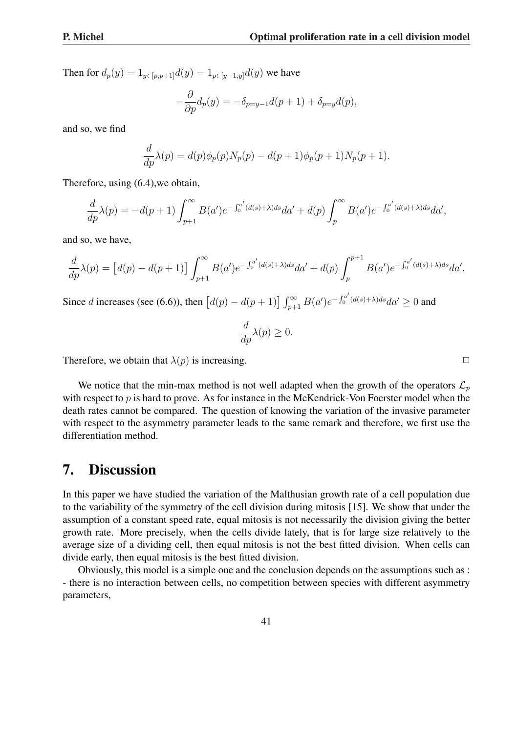Then for  $d_p(y) = 1_{y \in [p, p+1]} d(y) = 1_{p \in [y-1, y]} d(y)$  we have

$$
-\frac{\partial}{\partial p}d_p(y) = -\delta_{p=y-1}d(p+1) + \delta_{p=y}d(p),
$$

and so, we find

$$
\frac{d}{dp}\lambda(p) = d(p)\phi_p(p)N_p(p) - d(p+1)\phi_p(p+1)N_p(p+1).
$$

Therefore, using (6.4),we obtain,

$$
\frac{d}{dp}\lambda(p) = -d(p+1)\int_{p+1}^{\infty} B(a')e^{-\int_0^{a'}(d(s)+\lambda)ds}da' + d(p)\int_p^{\infty} B(a')e^{-\int_0^{a'}(d(s)+\lambda)ds}da',
$$

and so, we have,

$$
\frac{d}{dp}\lambda(p) = [d(p) - d(p+1)] \int_{p+1}^{\infty} B(a')e^{-\int_0^{a'}(d(s)+\lambda)ds}da' + d(p)\int_p^{p+1} B(a')e^{-\int_0^{a'}(d(s)+\lambda)ds}da'.
$$

Since *d* increases (see (6.6)), then  $[d(p) - d(p+1)] \int_{p+1}^{\infty} B(a')e^{-\int_{0}^{a'}}$  $\int_0^a \frac{d(s)+\lambda}{ds}da' \geq 0$  and

$$
\frac{d}{dp}\lambda(p) \ge 0.
$$

Therefore, we obtain that  $\lambda(p)$  is increasing.

We notice that the min-max method is not well adapted when the growth of the operators  $\mathcal{L}_p$ with respect to  $p$  is hard to prove. As for instance in the McKendrick-Von Foerster model when the death rates cannot be compared. The question of knowing the variation of the invasive parameter with respect to the asymmetry parameter leads to the same remark and therefore, we first use the differentiation method.

# 7. Discussion

In this paper we have studied the variation of the Malthusian growth rate of a cell population due to the variability of the symmetry of the cell division during mitosis [15]. We show that under the assumption of a constant speed rate, equal mitosis is not necessarily the division giving the better growth rate. More precisely, when the cells divide lately, that is for large size relatively to the average size of a dividing cell, then equal mitosis is not the best fitted division. When cells can divide early, then equal mitosis is the best fitted division.

Obviously, this model is a simple one and the conclusion depends on the assumptions such as : - there is no interaction between cells, no competition between species with different asymmetry parameters,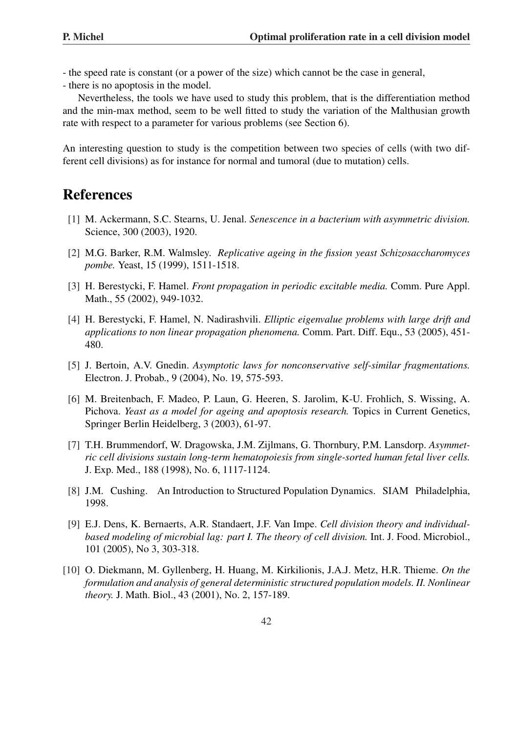- the speed rate is constant (or a power of the size) which cannot be the case in general,

- there is no apoptosis in the model.

Nevertheless, the tools we have used to study this problem, that is the differentiation method and the min-max method, seem to be well fitted to study the variation of the Malthusian growth rate with respect to a parameter for various problems (see Section 6).

An interesting question to study is the competition between two species of cells (with two different cell divisions) as for instance for normal and tumoral (due to mutation) cells.

## References

- [1] M. Ackermann, S.C. Stearns, U. Jenal. *Senescence in a bacterium with asymmetric division.* Science, 300 (2003), 1920.
- [2] M.G. Barker, R.M. Walmsley. *Replicative ageing in the fission yeast Schizosaccharomyces pombe.* Yeast, 15 (1999), 1511-1518.
- [3] H. Berestycki, F. Hamel. *Front propagation in periodic excitable media.* Comm. Pure Appl. Math., 55 (2002), 949-1032.
- [4] H. Berestycki, F. Hamel, N. Nadirashvili. *Elliptic eigenvalue problems with large drift and applications to non linear propagation phenomena.* Comm. Part. Diff. Equ., 53 (2005), 451- 480.
- [5] J. Bertoin, A.V. Gnedin. *Asymptotic laws for nonconservative self-similar fragmentations.* Electron. J. Probab., 9 (2004), No. 19, 575-593.
- [6] M. Breitenbach, F. Madeo, P. Laun, G. Heeren, S. Jarolim, K-U. Frohlich, S. Wissing, A. Pichova. *Yeast as a model for ageing and apoptosis research.* Topics in Current Genetics, Springer Berlin Heidelberg, 3 (2003), 61-97.
- [7] T.H. Brummendorf, W. Dragowska, J.M. Zijlmans, G. Thornbury, P.M. Lansdorp. *Asymmetric cell divisions sustain long-term hematopoiesis from single-sorted human fetal liver cells.* J. Exp. Med., 188 (1998), No. 6, 1117-1124.
- [8] J.M. Cushing. An Introduction to Structured Population Dynamics. SIAM Philadelphia, 1998.
- [9] E.J. Dens, K. Bernaerts, A.R. Standaert, J.F. Van Impe. *Cell division theory and individualbased modeling of microbial lag: part I. The theory of cell division.* Int. J. Food. Microbiol., 101 (2005), No 3, 303-318.
- [10] O. Diekmann, M. Gyllenberg, H. Huang, M. Kirkilionis, J.A.J. Metz, H.R. Thieme. *On the formulation and analysis of general deterministic structured population models. II. Nonlinear theory.* J. Math. Biol., 43 (2001), No. 2, 157-189.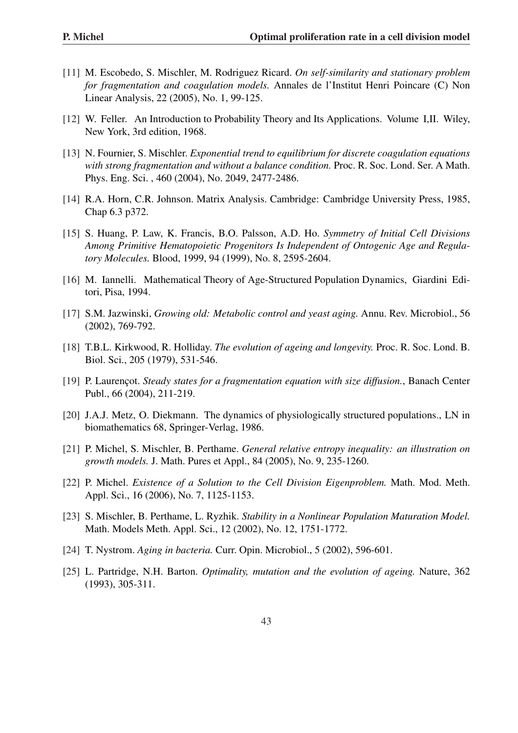- [11] M. Escobedo, S. Mischler, M. Rodriguez Ricard. *On self-similarity and stationary problem for fragmentation and coagulation models.* Annales de l'Institut Henri Poincare (C) Non Linear Analysis, 22 (2005), No. 1, 99-125.
- [12] W. Feller. An Introduction to Probability Theory and Its Applications. Volume I,II. Wiley, New York, 3rd edition, 1968.
- [13] N. Fournier, S. Mischler. *Exponential trend to equilibrium for discrete coagulation equations with strong fragmentation and without a balance condition.* Proc. R. Soc. Lond. Ser. A Math. Phys. Eng. Sci. , 460 (2004), No. 2049, 2477-2486.
- [14] R.A. Horn, C.R. Johnson. Matrix Analysis. Cambridge: Cambridge University Press, 1985, Chap 6.3 p372.
- [15] S. Huang, P. Law, K. Francis, B.O. Palsson, A.D. Ho. *Symmetry of Initial Cell Divisions Among Primitive Hematopoietic Progenitors Is Independent of Ontogenic Age and Regulatory Molecules.* Blood, 1999, 94 (1999), No. 8, 2595-2604.
- [16] M. Iannelli. Mathematical Theory of Age-Structured Population Dynamics, Giardini Editori, Pisa, 1994.
- [17] S.M. Jazwinski, *Growing old: Metabolic control and yeast aging.* Annu. Rev. Microbiol., 56 (2002), 769-792.
- [18] T.B.L. Kirkwood, R. Holliday. *The evolution of ageing and longevity.* Proc. R. Soc. Lond. B. Biol. Sci., 205 (1979), 531-546.
- [19] P. Laurençot. *Steady states for a fragmentation equation with size diffusion.*, Banach Center Publ., 66 (2004), 211-219.
- [20] J.A.J. Metz, O. Diekmann. The dynamics of physiologically structured populations., LN in biomathematics 68, Springer-Verlag, 1986.
- [21] P. Michel, S. Mischler, B. Perthame. *General relative entropy inequality: an illustration on growth models.* J. Math. Pures et Appl., 84 (2005), No. 9, 235-1260.
- [22] P. Michel. *Existence of a Solution to the Cell Division Eigenproblem.* Math. Mod. Meth. Appl. Sci., 16 (2006), No. 7, 1125-1153.
- [23] S. Mischler, B. Perthame, L. Ryzhik. *Stability in a Nonlinear Population Maturation Model.* Math. Models Meth. Appl. Sci., 12 (2002), No. 12, 1751-1772.
- [24] T. Nystrom. *Aging in bacteria.* Curr. Opin. Microbiol., 5 (2002), 596-601.
- [25] L. Partridge, N.H. Barton. *Optimality, mutation and the evolution of ageing.* Nature, 362 (1993), 305-311.